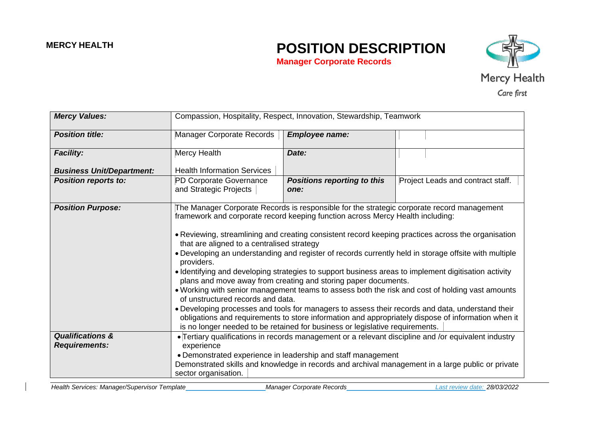## **MERCY HEALTH POSITION DESCRIPTION**

**Manager Corporate Records**



| <b>Mercy Values:</b>                                | Compassion, Hospitality, Respect, Innovation, Stewardship, Teamwork                                                                                                                                                                                                                                                                                                                                                                                                                                                                                                                                                                                                                                                                                                                                                                                                                                                                                                                                                                                                 |                                                                                 |  |  |
|-----------------------------------------------------|---------------------------------------------------------------------------------------------------------------------------------------------------------------------------------------------------------------------------------------------------------------------------------------------------------------------------------------------------------------------------------------------------------------------------------------------------------------------------------------------------------------------------------------------------------------------------------------------------------------------------------------------------------------------------------------------------------------------------------------------------------------------------------------------------------------------------------------------------------------------------------------------------------------------------------------------------------------------------------------------------------------------------------------------------------------------|---------------------------------------------------------------------------------|--|--|
| <b>Position title:</b>                              | <b>Manager Corporate Records</b>                                                                                                                                                                                                                                                                                                                                                                                                                                                                                                                                                                                                                                                                                                                                                                                                                                                                                                                                                                                                                                    | <b>Employee name:</b>                                                           |  |  |
| <b>Facility:</b>                                    | Mercy Health                                                                                                                                                                                                                                                                                                                                                                                                                                                                                                                                                                                                                                                                                                                                                                                                                                                                                                                                                                                                                                                        | Date:                                                                           |  |  |
| <b>Business Unit/Department:</b>                    | <b>Health Information Services</b>                                                                                                                                                                                                                                                                                                                                                                                                                                                                                                                                                                                                                                                                                                                                                                                                                                                                                                                                                                                                                                  |                                                                                 |  |  |
| <b>Position reports to:</b>                         | PD Corporate Governance<br>and Strategic Projects                                                                                                                                                                                                                                                                                                                                                                                                                                                                                                                                                                                                                                                                                                                                                                                                                                                                                                                                                                                                                   | <b>Positions reporting to this</b><br>Project Leads and contract staff.<br>one: |  |  |
| <b>Position Purpose:</b>                            | The Manager Corporate Records is responsible for the strategic corporate record management<br>framework and corporate record keeping function across Mercy Health including:<br>• Reviewing, streamlining and creating consistent record keeping practices across the organisation<br>that are aligned to a centralised strategy<br>. Developing an understanding and register of records currently held in storage offsite with multiple<br>providers.<br>. Identifying and developing strategies to support business areas to implement digitisation activity<br>plans and move away from creating and storing paper documents.<br>. Working with senior management teams to assess both the risk and cost of holding vast amounts<br>of unstructured records and data.<br>• Developing processes and tools for managers to assess their records and data, understand their<br>obligations and requirements to store information and appropriately dispose of information when it<br>is no longer needed to be retained for business or legislative requirements. |                                                                                 |  |  |
| <b>Qualifications &amp;</b><br><b>Requirements:</b> | • Tertiary qualifications in records management or a relevant discipline and /or equivalent industry                                                                                                                                                                                                                                                                                                                                                                                                                                                                                                                                                                                                                                                                                                                                                                                                                                                                                                                                                                |                                                                                 |  |  |
|                                                     | experience<br>• Demonstrated experience in leadership and staff management                                                                                                                                                                                                                                                                                                                                                                                                                                                                                                                                                                                                                                                                                                                                                                                                                                                                                                                                                                                          |                                                                                 |  |  |
|                                                     | Demonstrated skills and knowledge in records and archival management in a large public or private<br>sector organisation.                                                                                                                                                                                                                                                                                                                                                                                                                                                                                                                                                                                                                                                                                                                                                                                                                                                                                                                                           |                                                                                 |  |  |

*Health Services: Manager/Supervisor Template Manager Corporate Records Last review date: 28/03/2022*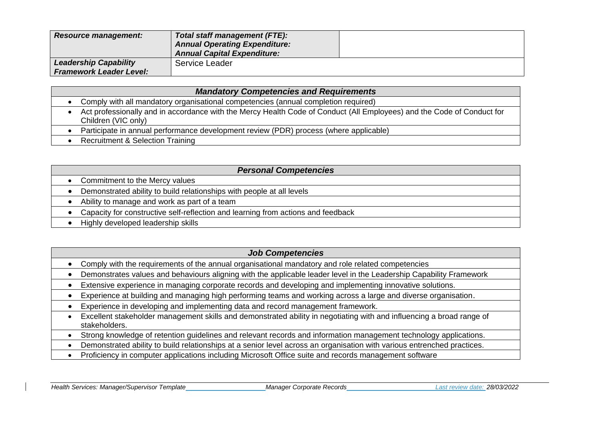| <b>Resource management:</b>    | Total staff management (FTE):<br><b>Annual Operating Expenditure:</b><br><b>Annual Capital Expenditure:</b> |  |
|--------------------------------|-------------------------------------------------------------------------------------------------------------|--|
| <b>Leadership Capability</b>   | Service Leader                                                                                              |  |
| <b>Framework Leader Level:</b> |                                                                                                             |  |

| <b>Mandatory Competencies and Requirements</b> |                                                                                                                                               |  |
|------------------------------------------------|-----------------------------------------------------------------------------------------------------------------------------------------------|--|
|                                                | Comply with all mandatory organisational competencies (annual completion required)                                                            |  |
|                                                | Act professionally and in accordance with the Mercy Health Code of Conduct (All Employees) and the Code of Conduct for<br>Children (VIC only) |  |
|                                                | Participate in annual performance development review (PDR) process (where applicable)                                                         |  |
|                                                | <b>Recruitment &amp; Selection Training</b>                                                                                                   |  |

| <b>Personal Competencies</b> |                                                                                  |  |
|------------------------------|----------------------------------------------------------------------------------|--|
|                              | Commitment to the Mercy values                                                   |  |
|                              | Demonstrated ability to build relationships with people at all levels            |  |
|                              | Ability to manage and work as part of a team                                     |  |
|                              | Capacity for constructive self-reflection and learning from actions and feedback |  |
|                              | Highly developed leadership skills                                               |  |

| <b>Job Competencies</b>                                                                                                                |
|----------------------------------------------------------------------------------------------------------------------------------------|
| Comply with the requirements of the annual organisational mandatory and role related competencies                                      |
| Demonstrates values and behaviours aligning with the applicable leader level in the Leadership Capability Framework                    |
| Extensive experience in managing corporate records and developing and implementing innovative solutions.                               |
| Experience at building and managing high performing teams and working across a large and diverse organisation.                         |
| Experience in developing and implementing data and record management framework.                                                        |
| Excellent stakeholder management skills and demonstrated ability in negotiating with and influencing a broad range of<br>stakeholders. |
| Strong knowledge of retention guidelines and relevant records and information management technology applications.                      |
| Demonstrated ability to build relationships at a senior level across an organisation with various entrenched practices.                |
|                                                                                                                                        |

• Proficiency in computer applications including Microsoft Office suite and records management software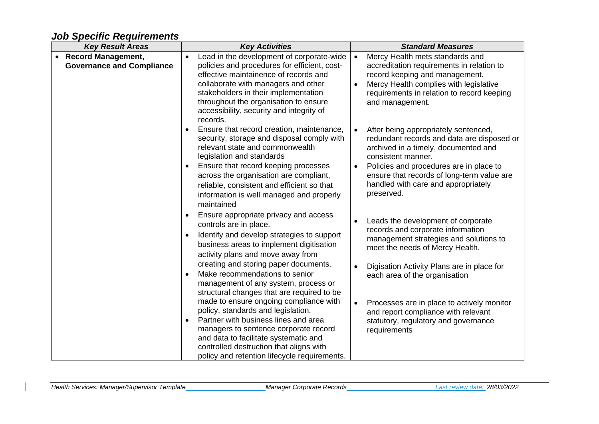## *Job Specific Requirements*

| <b>Key Result Areas</b>                                       | <b>Key Activities</b>                                                                                                                                                                                                                                                                                                                                               | <b>Standard Measures</b> |                                                                                                                                                                                                                                                                                                |
|---------------------------------------------------------------|---------------------------------------------------------------------------------------------------------------------------------------------------------------------------------------------------------------------------------------------------------------------------------------------------------------------------------------------------------------------|--------------------------|------------------------------------------------------------------------------------------------------------------------------------------------------------------------------------------------------------------------------------------------------------------------------------------------|
| <b>Record Management,</b><br><b>Governance and Compliance</b> | Lead in the development of corporate-wide<br>$\bullet$<br>policies and procedures for efficient, cost-<br>effective maintainence of records and<br>collaborate with managers and other<br>stakeholders in their implementation<br>throughout the organisation to ensure<br>accessibility, security and integrity of<br>records.                                     | $\bullet$                | Mercy Health mets standards and<br>accreditation requirements in relation to<br>record keeping and management.<br>Mercy Health complies with legislative<br>requirements in relation to record keeping<br>and management.                                                                      |
|                                                               | Ensure that record creation, maintenance,<br>$\bullet$<br>security, storage and disposal comply with<br>relevant state and commonwealth<br>legislation and standards<br>Ensure that record keeping processes<br>٠<br>across the organisation are compliant,<br>reliable, consistent and efficient so that<br>information is well managed and properly<br>maintained | $\bullet$<br>$\bullet$   | After being appropriately sentenced,<br>redundant records and data are disposed or<br>archived in a timely, documented and<br>consistent manner.<br>Policies and procedures are in place to<br>ensure that records of long-term value are<br>handled with care and appropriately<br>preserved. |
|                                                               | Ensure appropriate privacy and access<br>$\bullet$<br>controls are in place.<br>Identify and develop strategies to support<br>$\bullet$<br>business areas to implement digitisation<br>activity plans and move away from                                                                                                                                            |                          | Leads the development of corporate<br>records and corporate information<br>management strategies and solutions to<br>meet the needs of Mercy Health.                                                                                                                                           |
|                                                               | creating and storing paper documents.<br>Make recommendations to senior<br>$\bullet$<br>management of any system, process or<br>structural changes that are required to be<br>made to ensure ongoing compliance with                                                                                                                                                | $\bullet$                | Digisation Activity Plans are in place for<br>each area of the organisation<br>Processes are in place to actively monitor                                                                                                                                                                      |
|                                                               | policy, standards and legislation.<br>Partner with business lines and area<br>$\bullet$<br>managers to sentence corporate record<br>and data to facilitate systematic and<br>controlled destruction that aligns with<br>policy and retention lifecycle requirements.                                                                                                |                          | and report compliance with relevant<br>statutory, regulatory and governance<br>requirements                                                                                                                                                                                                    |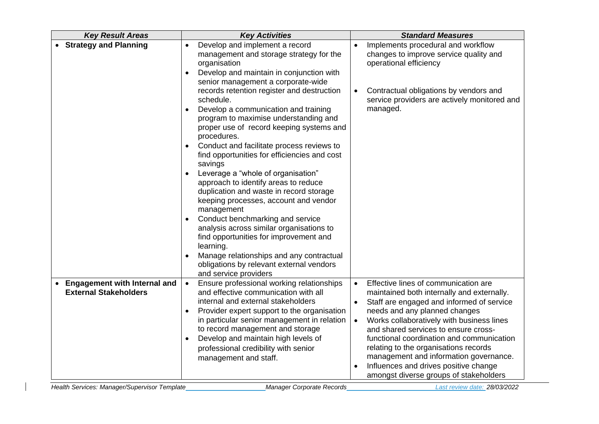| <b>Key Result Areas</b>                                             | <b>Key Activities</b>                                                                                                                                                                                                                                                  | <b>Standard Measures</b>                                                                                                                                                                                                                                                        |  |
|---------------------------------------------------------------------|------------------------------------------------------------------------------------------------------------------------------------------------------------------------------------------------------------------------------------------------------------------------|---------------------------------------------------------------------------------------------------------------------------------------------------------------------------------------------------------------------------------------------------------------------------------|--|
| • Strategy and Planning                                             | Develop and implement a record<br>$\bullet$<br>management and storage strategy for the<br>organisation<br>Develop and maintain in conjunction with<br>$\bullet$<br>senior management a corporate-wide                                                                  | Implements procedural and workflow<br>$\bullet$<br>changes to improve service quality and<br>operational efficiency                                                                                                                                                             |  |
|                                                                     | records retention register and destruction<br>schedule.<br>Develop a communication and training<br>$\bullet$                                                                                                                                                           | Contractual obligations by vendors and<br>service providers are actively monitored and<br>managed.                                                                                                                                                                              |  |
|                                                                     | program to maximise understanding and<br>proper use of record keeping systems and<br>procedures.                                                                                                                                                                       |                                                                                                                                                                                                                                                                                 |  |
|                                                                     | Conduct and facilitate process reviews to<br>find opportunities for efficiencies and cost<br>savings                                                                                                                                                                   |                                                                                                                                                                                                                                                                                 |  |
|                                                                     | Leverage a "whole of organisation"<br>approach to identify areas to reduce<br>duplication and waste in record storage<br>keeping processes, account and vendor<br>management                                                                                           |                                                                                                                                                                                                                                                                                 |  |
|                                                                     | Conduct benchmarking and service<br>$\bullet$<br>analysis across similar organisations to<br>find opportunities for improvement and<br>learning.                                                                                                                       |                                                                                                                                                                                                                                                                                 |  |
|                                                                     | Manage relationships and any contractual<br>obligations by relevant external vendors<br>and service providers                                                                                                                                                          |                                                                                                                                                                                                                                                                                 |  |
| <b>Engagement with Internal and</b><br><b>External Stakeholders</b> | Ensure professional working relationships<br>$\bullet$<br>and effective communication with all<br>internal and external stakeholders<br>Provider expert support to the organisation<br>in particular senior management in relation<br>to record management and storage | Effective lines of communication are<br>$\bullet$<br>maintained both internally and externally.<br>Staff are engaged and informed of service<br>needs and any planned changes<br>Works collaboratively with business lines<br>$\bullet$<br>and shared services to ensure cross- |  |
|                                                                     | Develop and maintain high levels of<br>professional credibility with senior<br>management and staff.                                                                                                                                                                   | functional coordination and communication<br>relating to the organisations records<br>management and information governance.<br>Influences and drives positive change<br>amongst diverse groups of stakeholders                                                                 |  |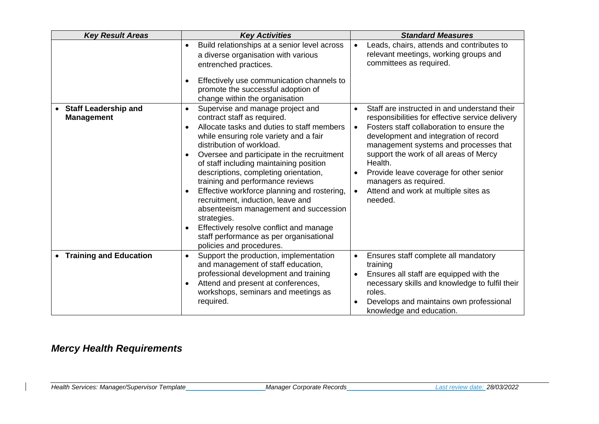| <b>Key Result Areas</b>                          | <b>Key Activities</b>                                                                                                                                                                                                                                                                                                                                                                                                                                                                                                                                                                                                                                                                     | <b>Standard Measures</b>                                                                                                                                                                                                                                                                                                                                                                                                                                       |
|--------------------------------------------------|-------------------------------------------------------------------------------------------------------------------------------------------------------------------------------------------------------------------------------------------------------------------------------------------------------------------------------------------------------------------------------------------------------------------------------------------------------------------------------------------------------------------------------------------------------------------------------------------------------------------------------------------------------------------------------------------|----------------------------------------------------------------------------------------------------------------------------------------------------------------------------------------------------------------------------------------------------------------------------------------------------------------------------------------------------------------------------------------------------------------------------------------------------------------|
|                                                  | Build relationships at a senior level across<br>$\bullet$<br>a diverse organisation with various<br>entrenched practices.<br>Effectively use communication channels to<br>$\bullet$<br>promote the successful adoption of                                                                                                                                                                                                                                                                                                                                                                                                                                                                 | Leads, chairs, attends and contributes to<br>$\bullet$<br>relevant meetings, working groups and<br>committees as required.                                                                                                                                                                                                                                                                                                                                     |
|                                                  | change within the organisation                                                                                                                                                                                                                                                                                                                                                                                                                                                                                                                                                                                                                                                            |                                                                                                                                                                                                                                                                                                                                                                                                                                                                |
| <b>Staff Leadership and</b><br><b>Management</b> | Supervise and manage project and<br>$\bullet$<br>contract staff as required.<br>Allocate tasks and duties to staff members<br>$\bullet$<br>while ensuring role variety and a fair<br>distribution of workload.<br>Oversee and participate in the recruitment<br>$\bullet$<br>of staff including maintaining position<br>descriptions, completing orientation,<br>training and performance reviews<br>Effective workforce planning and rostering,<br>$\bullet$<br>recruitment, induction, leave and<br>absenteeism management and succession<br>strategies.<br>Effectively resolve conflict and manage<br>$\bullet$<br>staff performance as per organisational<br>policies and procedures. | Staff are instructed in and understand their<br>$\bullet$<br>responsibilities for effective service delivery<br>Fosters staff collaboration to ensure the<br>$\bullet$<br>development and integration of record<br>management systems and processes that<br>support the work of all areas of Mercy<br>Health.<br>Provide leave coverage for other senior<br>$\bullet$<br>managers as required.<br>Attend and work at multiple sites as<br>$\bullet$<br>needed. |
| <b>Training and Education</b>                    | Support the production, implementation<br>$\bullet$<br>and management of staff education,<br>professional development and training<br>Attend and present at conferences,<br>$\bullet$<br>workshops, seminars and meetings as<br>required.                                                                                                                                                                                                                                                                                                                                                                                                                                                 | Ensures staff complete all mandatory<br>training<br>Ensures all staff are equipped with the<br>$\bullet$<br>necessary skills and knowledge to fulfil their<br>roles.<br>Develops and maintains own professional<br>knowledge and education.                                                                                                                                                                                                                    |

## *Mercy Health Requirements*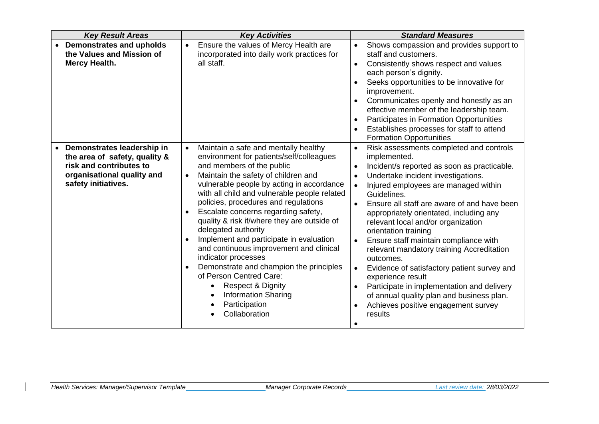| <b>Key Result Areas</b>                                                                                                                     | <b>Key Activities</b>                                                                                                                                                                                                                                                                                                                                                                                                                                                                                                                                                                                                                                                                                                                                      | <b>Standard Measures</b>                                                                                                                                                                                                                                                                                                                                                                                                                                                                                                                                                                                                                                                                                                                                                                |  |
|---------------------------------------------------------------------------------------------------------------------------------------------|------------------------------------------------------------------------------------------------------------------------------------------------------------------------------------------------------------------------------------------------------------------------------------------------------------------------------------------------------------------------------------------------------------------------------------------------------------------------------------------------------------------------------------------------------------------------------------------------------------------------------------------------------------------------------------------------------------------------------------------------------------|-----------------------------------------------------------------------------------------------------------------------------------------------------------------------------------------------------------------------------------------------------------------------------------------------------------------------------------------------------------------------------------------------------------------------------------------------------------------------------------------------------------------------------------------------------------------------------------------------------------------------------------------------------------------------------------------------------------------------------------------------------------------------------------------|--|
| <b>Demonstrates and upholds</b><br>the Values and Mission of<br><b>Mercy Health.</b>                                                        | Ensure the values of Mercy Health are<br>incorporated into daily work practices for<br>all staff.                                                                                                                                                                                                                                                                                                                                                                                                                                                                                                                                                                                                                                                          | Shows compassion and provides support to<br>$\bullet$<br>staff and customers.<br>Consistently shows respect and values<br>$\bullet$<br>each person's dignity.<br>Seeks opportunities to be innovative for<br>٠<br>improvement.<br>Communicates openly and honestly as an<br>effective member of the leadership team.<br>Participates in Formation Opportunities<br>$\bullet$<br>Establishes processes for staff to attend<br><b>Formation Opportunities</b>                                                                                                                                                                                                                                                                                                                             |  |
| Demonstrates leadership in<br>the area of safety, quality &<br>risk and contributes to<br>organisational quality and<br>safety initiatives. | Maintain a safe and mentally healthy<br>$\bullet$<br>environment for patients/self/colleagues<br>and members of the public<br>Maintain the safety of children and<br>$\bullet$<br>vulnerable people by acting in accordance<br>with all child and vulnerable people related<br>policies, procedures and regulations<br>Escalate concerns regarding safety,<br>$\bullet$<br>quality & risk if/where they are outside of<br>delegated authority<br>Implement and participate in evaluation<br>$\bullet$<br>and continuous improvement and clinical<br>indicator processes<br>Demonstrate and champion the principles<br>$\bullet$<br>of Person Centred Care:<br><b>Respect &amp; Dignity</b><br><b>Information Sharing</b><br>Participation<br>Collaboration | Risk assessments completed and controls<br>$\bullet$<br>implemented.<br>Incident/s reported as soon as practicable.<br>$\bullet$<br>Undertake incident investigations.<br>$\bullet$<br>Injured employees are managed within<br>$\bullet$<br>Guidelines.<br>Ensure all staff are aware of and have been<br>$\bullet$<br>appropriately orientated, including any<br>relevant local and/or organization<br>orientation training<br>Ensure staff maintain compliance with<br>$\bullet$<br>relevant mandatory training Accreditation<br>outcomes.<br>Evidence of satisfactory patient survey and<br>$\bullet$<br>experience result<br>Participate in implementation and delivery<br>$\bullet$<br>of annual quality plan and business plan.<br>Achieves positive engagement survey<br>results |  |